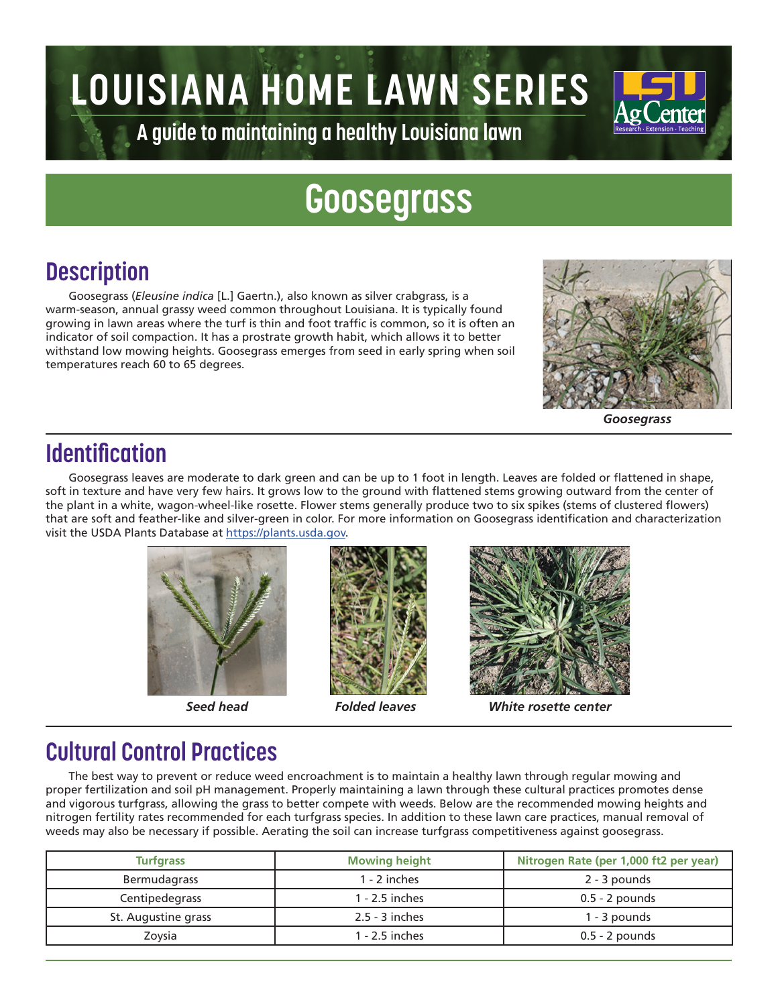# **LOUISIANA HOME LAWN SERIES**



**A guide to maintaining a healthy Louisiana lawn**

## **Goosegrass**

### **Description**

Goosegrass (*Eleusine indica* [L.] Gaertn.), also known as silver crabgrass, is a warm-season, annual grassy weed common throughout Louisiana. It is typically found growing in lawn areas where the turf is thin and foot traffic is common, so it is often an indicator of soil compaction. It has a prostrate growth habit, which allows it to better withstand low mowing heights. Goosegrass emerges from seed in early spring when soil temperatures reach 60 to 65 degrees.



*Goosegrass*

#### **Identification**

Goosegrass leaves are moderate to dark green and can be up to 1 foot in length. Leaves are folded or flattened in shape, soft in texture and have very few hairs. It grows low to the ground with flattened stems growing outward from the center of the plant in a white, wagon-wheel-like rosette. Flower stems generally produce two to six spikes (stems of clustered flowers) that are soft and feather-like and silver-green in color. For more information on Goosegrass identification and characterization visit the USDA Plants Database at https://plants.usda.gov.







*Seed head Folded leaves White rosette center*

#### **Cultural Control Practices**

The best way to prevent or reduce weed encroachment is to maintain a healthy lawn through regular mowing and proper fertilization and soil pH management. Properly maintaining a lawn through these cultural practices promotes dense and vigorous turfgrass, allowing the grass to better compete with weeds. Below are the recommended mowing heights and nitrogen fertility rates recommended for each turfgrass species. In addition to these lawn care practices, manual removal of weeds may also be necessary if possible. Aerating the soil can increase turfgrass competitiveness against goosegrass.

| <b>Turfgrass</b>    | <b>Mowing height</b> | Nitrogen Rate (per 1,000 ft2 per year) |  |  |
|---------------------|----------------------|----------------------------------------|--|--|
| Bermudagrass        | $1 - 2$ inches       | 2 - 3 pounds                           |  |  |
| Centipedegrass      | 1 - 2.5 inches       | $0.5 - 2$ pounds                       |  |  |
| St. Augustine grass | $2.5 - 3$ inches     | 1 - 3 pounds                           |  |  |
| Zovsia              | 1 - 2.5 inches       | $0.5 - 2$ pounds                       |  |  |